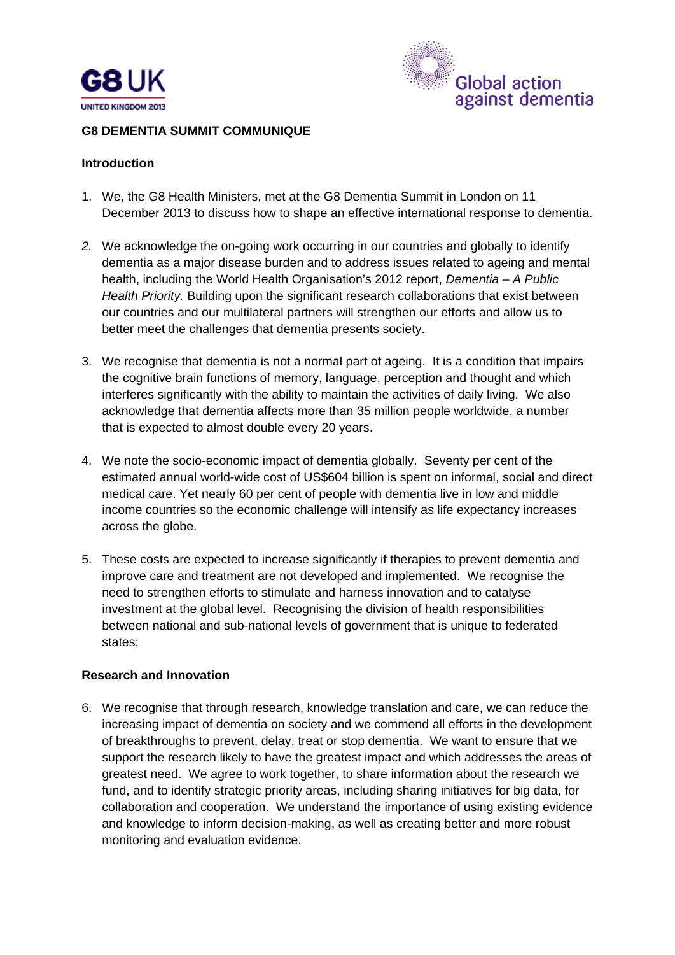



#### **G8 DEMENTIA SUMMIT COMMUNIQUE**

#### **Introduction**

- 1. We, the G8 Health Ministers, met at the G8 Dementia Summit in London on 11 December 2013 to discuss how to shape an effective international response to dementia.
- *2.* We acknowledge the on-going work occurring in our countries and globally to identify dementia as a major disease burden and to address issues related to ageing and mental health, including the World Health Organisation's 2012 report, *Dementia – A Public Health Priority.* Building upon the significant research collaborations that exist between our countries and our multilateral partners will strengthen our efforts and allow us to better meet the challenges that dementia presents society.
- 3. We recognise that dementia is not a normal part of ageing. It is a condition that impairs the cognitive brain functions of memory, language, perception and thought and which interferes significantly with the ability to maintain the activities of daily living. We also acknowledge that dementia affects more than 35 million people worldwide, a number that is expected to almost double every 20 years.
- 4. We note the socio-economic impact of dementia globally. Seventy per cent of the estimated annual world-wide cost of US\$604 billion is spent on informal, social and direct medical care. Yet nearly 60 per cent of people with dementia live in low and middle income countries so the economic challenge will intensify as life expectancy increases across the globe.
- 5. These costs are expected to increase significantly if therapies to prevent dementia and improve care and treatment are not developed and implemented. We recognise the need to strengthen efforts to stimulate and harness innovation and to catalyse investment at the global level. Recognising the division of health responsibilities between national and sub-national levels of government that is unique to federated states;

### **Research and Innovation**

6. We recognise that through research, knowledge translation and care, we can reduce the increasing impact of dementia on society and we commend all efforts in the development of breakthroughs to prevent, delay, treat or stop dementia. We want to ensure that we support the research likely to have the greatest impact and which addresses the areas of greatest need. We agree to work together, to share information about the research we fund, and to identify strategic priority areas, including sharing initiatives for big data, for collaboration and cooperation. We understand the importance of using existing evidence and knowledge to inform decision-making, as well as creating better and more robust monitoring and evaluation evidence.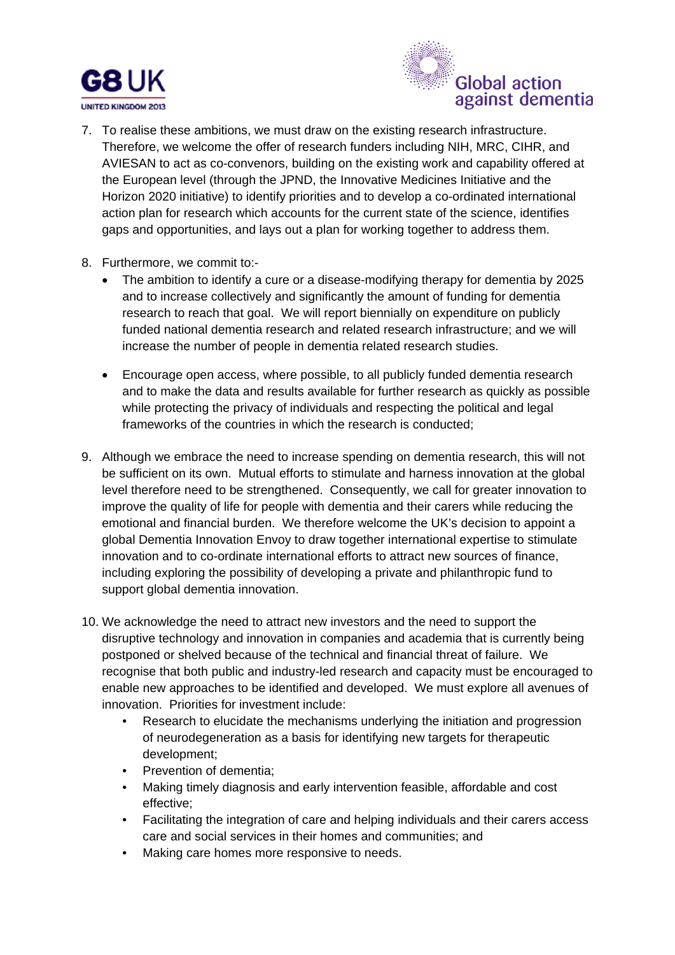



- 7. To realise these ambitions, we must draw on the existing research infrastructure. Therefore, we welcome the offer of research funders including NIH, MRC, CIHR, and AVIESAN to act as co-convenors, building on the existing work and capability offered at the European level (through the JPND, the Innovative Medicines Initiative and the Horizon 2020 initiative) to identify priorities and to develop a co-ordinated international action plan for research which accounts for the current state of the science, identifies gaps and opportunities, and lays out a plan for working together to address them.
- 8. Furthermore, we commit to:-
	- The ambition to identify a cure or a disease-modifying therapy for dementia by 2025 and to increase collectively and significantly the amount of funding for dementia research to reach that goal. We will report biennially on expenditure on publicly funded national dementia research and related research infrastructure; and we will increase the number of people in dementia related research studies.
	- Encourage open access, where possible, to all publicly funded dementia research and to make the data and results available for further research as quickly as possible while protecting the privacy of individuals and respecting the political and legal frameworks of the countries in which the research is conducted;
- 9. Although we embrace the need to increase spending on dementia research, this will not be sufficient on its own. Mutual efforts to stimulate and harness innovation at the global level therefore need to be strengthened. Consequently, we call for greater innovation to improve the quality of life for people with dementia and their carers while reducing the emotional and financial burden. We therefore welcome the UK's decision to appoint a global Dementia Innovation Envoy to draw together international expertise to stimulate innovation and to co-ordinate international efforts to attract new sources of finance, including exploring the possibility of developing a private and philanthropic fund to support global dementia innovation.
- 10. We acknowledge the need to attract new investors and the need to support the disruptive technology and innovation in companies and academia that is currently being postponed or shelved because of the technical and financial threat of failure. We recognise that both public and industry-led research and capacity must be encouraged to enable new approaches to be identified and developed. We must explore all avenues of innovation. Priorities for investment include:
	- Research to elucidate the mechanisms underlying the initiation and progression of neurodegeneration as a basis for identifying new targets for therapeutic development;
	- Prevention of dementia;
	- Making timely diagnosis and early intervention feasible, affordable and cost effective;
	- Facilitating the integration of care and helping individuals and their carers access care and social services in their homes and communities; and
	- Making care homes more responsive to needs.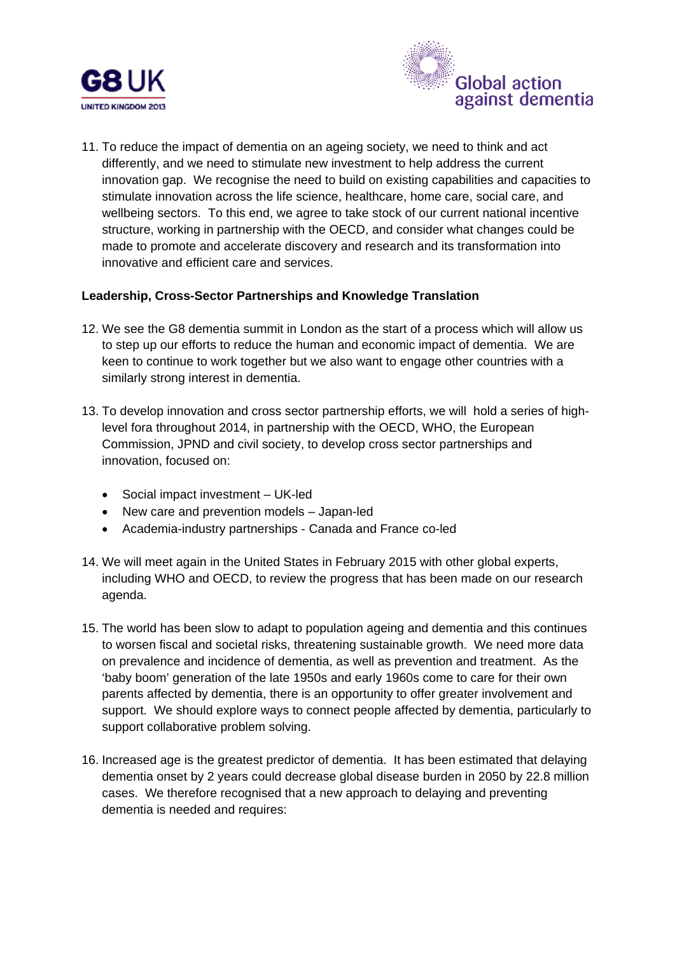



11. To reduce the impact of dementia on an ageing society, we need to think and act differently, and we need to stimulate new investment to help address the current innovation gap. We recognise the need to build on existing capabilities and capacities to stimulate innovation across the life science, healthcare, home care, social care, and wellbeing sectors. To this end, we agree to take stock of our current national incentive structure, working in partnership with the OECD, and consider what changes could be made to promote and accelerate discovery and research and its transformation into innovative and efficient care and services.

### **Leadership, Cross-Sector Partnerships and Knowledge Translation**

- 12. We see the G8 dementia summit in London as the start of a process which will allow us to step up our efforts to reduce the human and economic impact of dementia. We are keen to continue to work together but we also want to engage other countries with a similarly strong interest in dementia.
- 13. To develop innovation and cross sector partnership efforts, we will hold a series of highlevel fora throughout 2014, in partnership with the OECD, WHO, the European Commission, JPND and civil society, to develop cross sector partnerships and innovation, focused on:
	- Social impact investment UK-led
	- New care and prevention models Japan-led
	- Academia-industry partnerships Canada and France co-led
- 14. We will meet again in the United States in February 2015 with other global experts, including WHO and OECD, to review the progress that has been made on our research agenda.
- 15. The world has been slow to adapt to population ageing and dementia and this continues to worsen fiscal and societal risks, threatening sustainable growth. We need more data on prevalence and incidence of dementia, as well as prevention and treatment. As the 'baby boom' generation of the late 1950s and early 1960s come to care for their own parents affected by dementia, there is an opportunity to offer greater involvement and support. We should explore ways to connect people affected by dementia, particularly to support collaborative problem solving.
- 16. Increased age is the greatest predictor of dementia. It has been estimated that delaying dementia onset by 2 years could decrease global disease burden in 2050 by 22.8 million cases. We therefore recognised that a new approach to delaying and preventing dementia is needed and requires: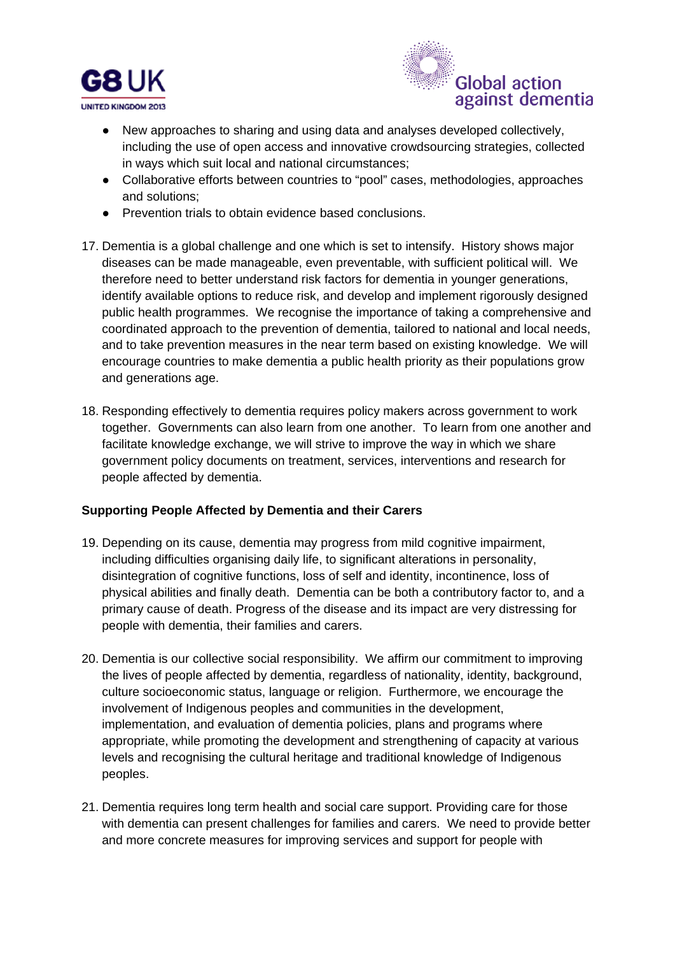



- New approaches to sharing and using data and analyses developed collectively, including the use of open access and innovative crowdsourcing strategies, collected in ways which suit local and national circumstances;
- Collaborative efforts between countries to "pool" cases, methodologies, approaches and solutions;
- Prevention trials to obtain evidence based conclusions.
- 17. Dementia is a global challenge and one which is set to intensify. History shows major diseases can be made manageable, even preventable, with sufficient political will. We therefore need to better understand risk factors for dementia in younger generations, identify available options to reduce risk, and develop and implement rigorously designed public health programmes. We recognise the importance of taking a comprehensive and coordinated approach to the prevention of dementia, tailored to national and local needs, and to take prevention measures in the near term based on existing knowledge. We will encourage countries to make dementia a public health priority as their populations grow and generations age.
- 18. Responding effectively to dementia requires policy makers across government to work together. Governments can also learn from one another. To learn from one another and facilitate knowledge exchange, we will strive to improve the way in which we share government policy documents on treatment, services, interventions and research for people affected by dementia.

### **Supporting People Affected by Dementia and their Carers**

- 19. Depending on its cause, dementia may progress from mild cognitive impairment, including difficulties organising daily life, to significant alterations in personality, disintegration of cognitive functions, loss of self and identity, incontinence, loss of physical abilities and finally death. Dementia can be both a contributory factor to, and a primary cause of death. Progress of the disease and its impact are very distressing for people with dementia, their families and carers.
- 20. Dementia is our collective social responsibility. We affirm our commitment to improving the lives of people affected by dementia, regardless of nationality, identity, background, culture socioeconomic status, language or religion. Furthermore, we encourage the involvement of Indigenous peoples and communities in the development, implementation, and evaluation of dementia policies, plans and programs where appropriate, while promoting the development and strengthening of capacity at various levels and recognising the cultural heritage and traditional knowledge of Indigenous peoples.
- 21. Dementia requires long term health and social care support. Providing care for those with dementia can present challenges for families and carers. We need to provide better and more concrete measures for improving services and support for people with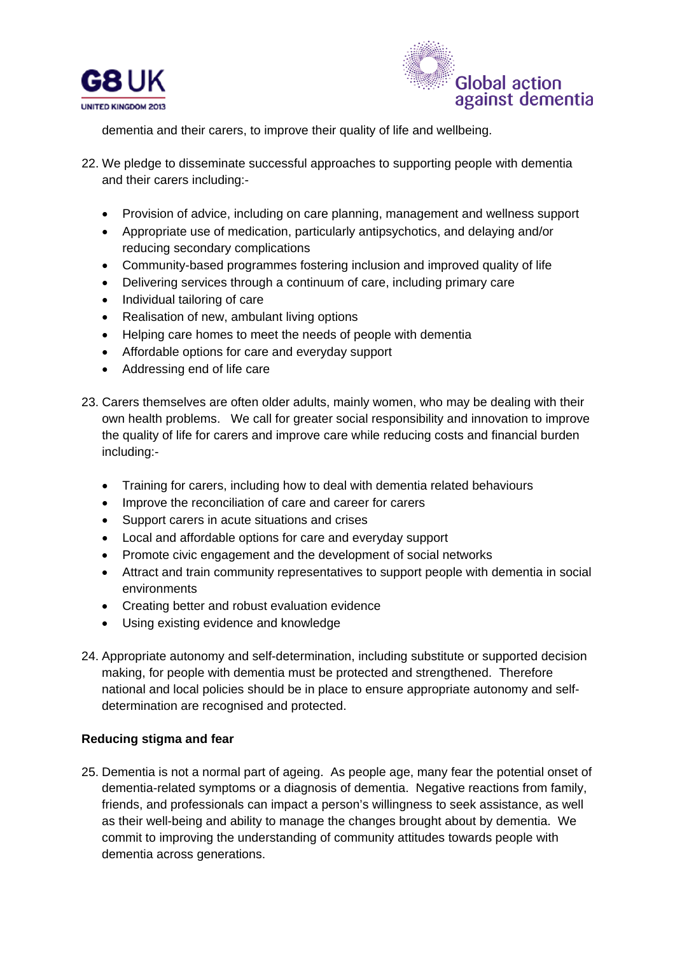



dementia and their carers, to improve their quality of life and wellbeing.

- 22. We pledge to disseminate successful approaches to supporting people with dementia and their carers including:-
	- Provision of advice, including on care planning, management and wellness support
	- Appropriate use of medication, particularly antipsychotics, and delaying and/or reducing secondary complications
	- Community-based programmes fostering inclusion and improved quality of life
	- Delivering services through a continuum of care, including primary care
	- Individual tailoring of care
	- Realisation of new, ambulant living options
	- Helping care homes to meet the needs of people with dementia
	- Affordable options for care and everyday support
	- Addressing end of life care
- 23. Carers themselves are often older adults, mainly women, who may be dealing with their own health problems. We call for greater social responsibility and innovation to improve the quality of life for carers and improve care while reducing costs and financial burden including:-
	- Training for carers, including how to deal with dementia related behaviours
	- Improve the reconciliation of care and career for carers
	- Support carers in acute situations and crises
	- Local and affordable options for care and everyday support
	- Promote civic engagement and the development of social networks
	- Attract and train community representatives to support people with dementia in social environments
	- Creating better and robust evaluation evidence
	- Using existing evidence and knowledge
- 24. Appropriate autonomy and self-determination, including substitute or supported decision making, for people with dementia must be protected and strengthened. Therefore national and local policies should be in place to ensure appropriate autonomy and selfdetermination are recognised and protected.

### **Reducing stigma and fear**

25. Dementia is not a normal part of ageing. As people age, many fear the potential onset of dementia-related symptoms or a diagnosis of dementia. Negative reactions from family, friends, and professionals can impact a person's willingness to seek assistance, as well as their well-being and ability to manage the changes brought about by dementia. We commit to improving the understanding of community attitudes towards people with dementia across generations.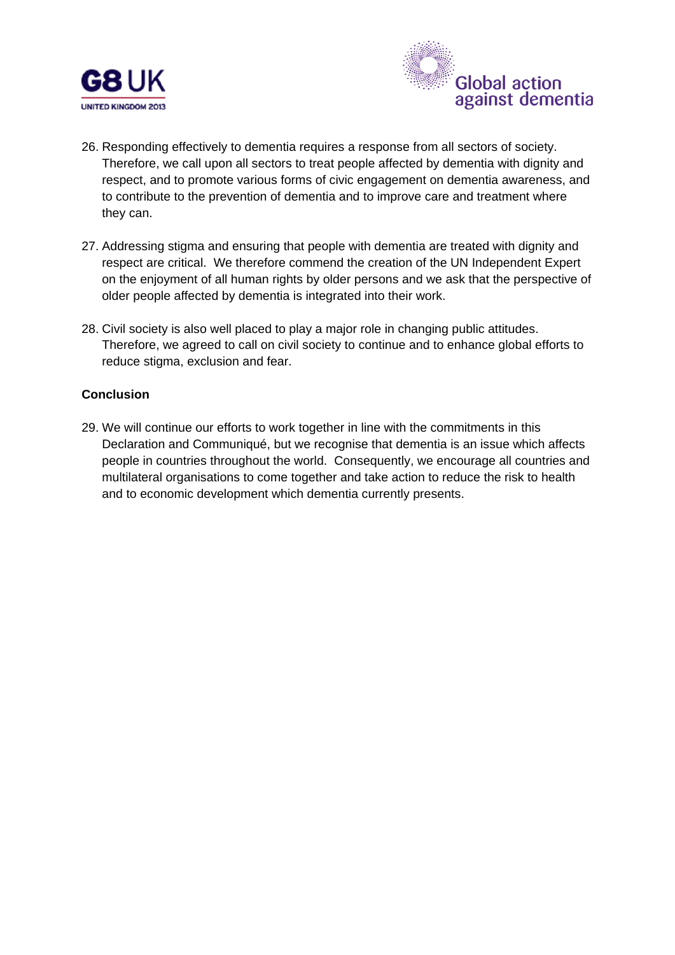



- 26. Responding effectively to dementia requires a response from all sectors of society. Therefore, we call upon all sectors to treat people affected by dementia with dignity and respect, and to promote various forms of civic engagement on dementia awareness, and to contribute to the prevention of dementia and to improve care and treatment where they can.
- 27. Addressing stigma and ensuring that people with dementia are treated with dignity and respect are critical. We therefore commend the creation of the UN Independent Expert on the enjoyment of all human rights by older persons and we ask that the perspective of older people affected by dementia is integrated into their work.
- 28. Civil society is also well placed to play a major role in changing public attitudes. Therefore, we agreed to call on civil society to continue and to enhance global efforts to reduce stigma, exclusion and fear.

### **Conclusion**

29. We will continue our efforts to work together in line with the commitments in this Declaration and Communiqué, but we recognise that dementia is an issue which affects people in countries throughout the world. Consequently, we encourage all countries and multilateral organisations to come together and take action to reduce the risk to health and to economic development which dementia currently presents.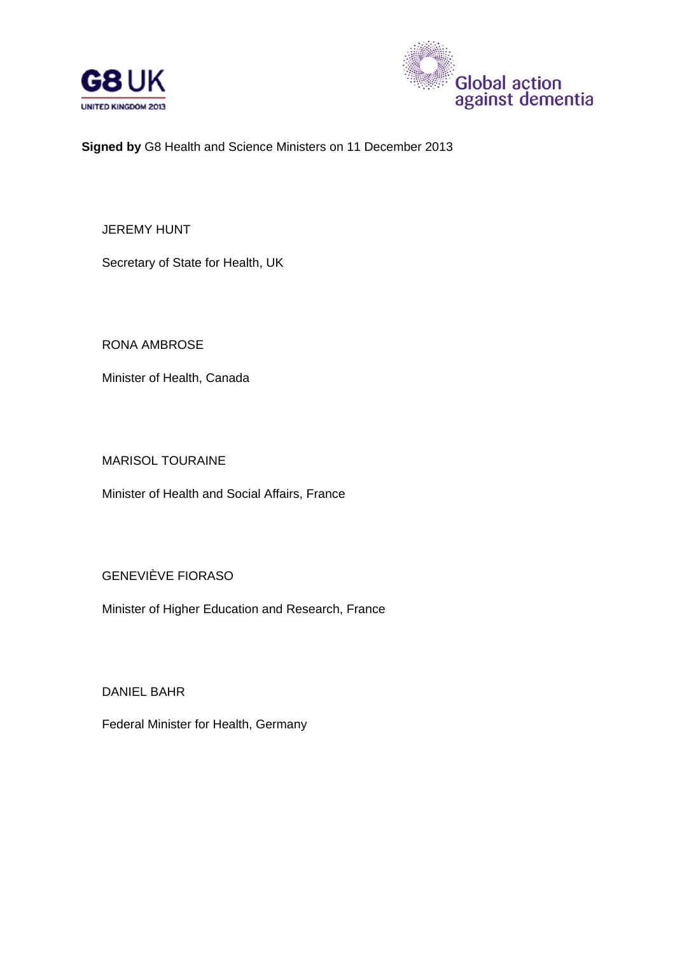



**Signed by** G8 Health and Science Ministers on 11 December 2013

JEREMY HUNT

Secretary of State for Health, UK

RONA AMBROSE

Minister of Health, Canada

MARISOL TOURAINE

Minister of Health and Social Affairs, France

GENEVIÈVE FIORASO

Minister of Higher Education and Research, France

DANIEL BAHR

Federal Minister for Health, Germany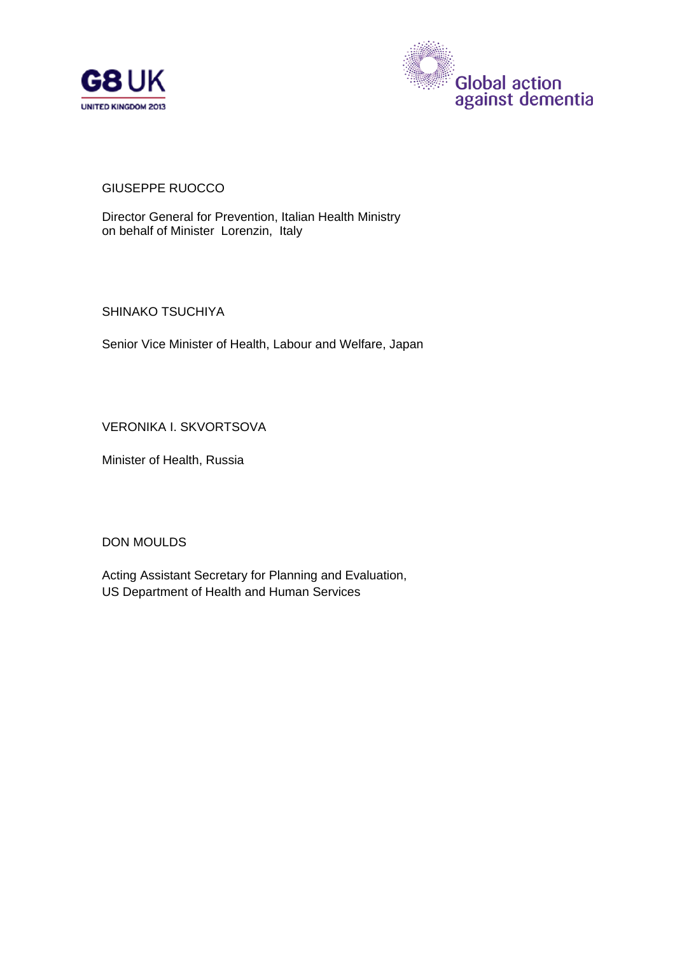



## GIUSEPPE RUOCCO

Director General for Prevention, Italian Health Ministry on behalf of Minister Lorenzin, Italy

SHINAKO TSUCHIYA

Senior Vice Minister of Health, Labour and Welfare, Japan

VERONIKA I. SKVORTSOVA

Minister of Health, Russia

DON MOULDS

Acting Assistant Secretary for Planning and Evaluation, US Department of Health and Human Services